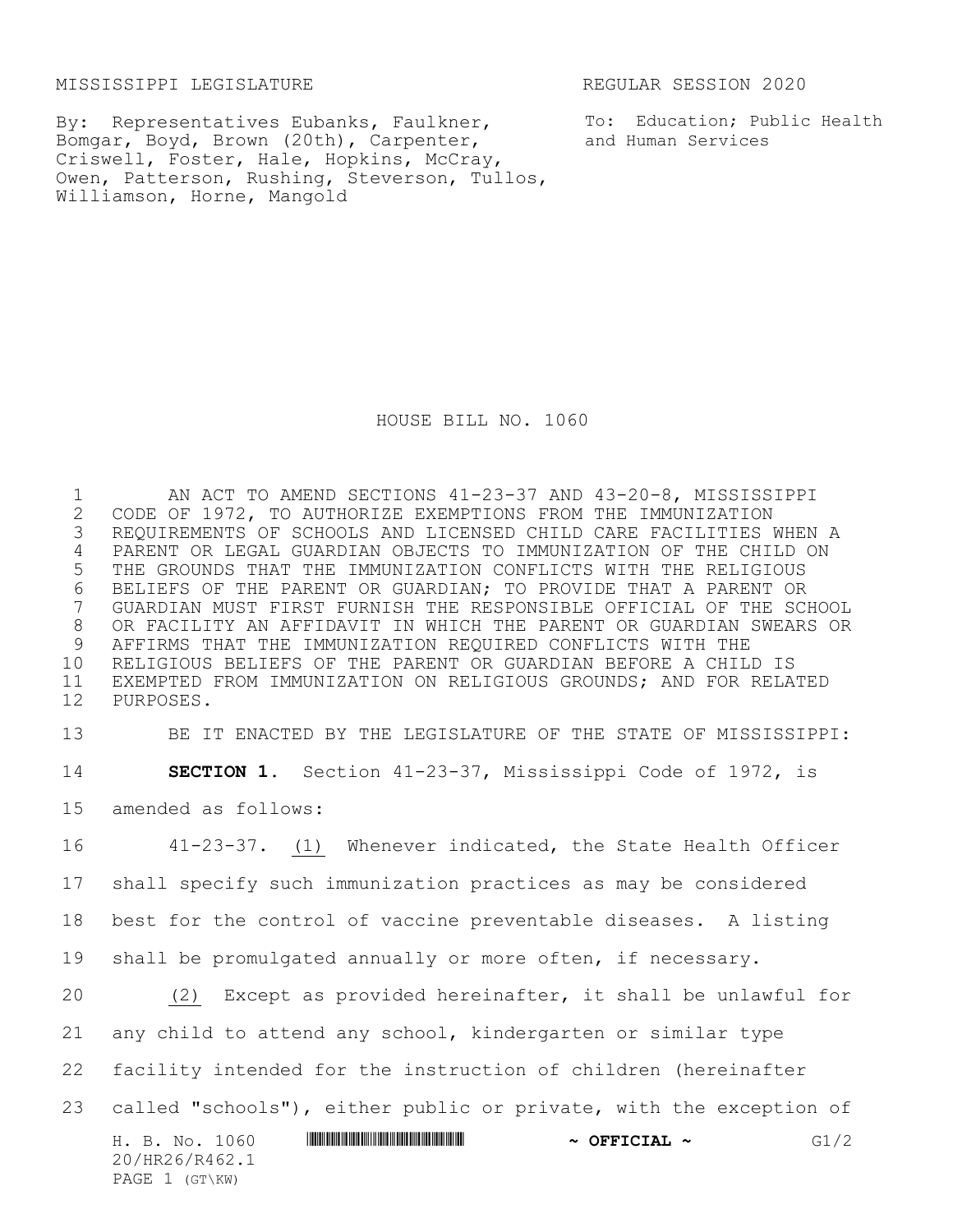MISSISSIPPI LEGISLATURE REGULAR SESSION 2020

By: Representatives Eubanks, Faulkner, Bomgar, Boyd, Brown (20th), Carpenter, Criswell, Foster, Hale, Hopkins, McCray, Owen, Patterson, Rushing, Steverson, Tullos, Williamson, Horne, Mangold

To: Education; Public Health and Human Services

HOUSE BILL NO. 1060

1 AN ACT TO AMEND SECTIONS 41-23-37 AND 43-20-8, MISSISSIPPI<br>2 CODE OF 1972, TO AUTHORIZE EXEMPTIONS FROM THE IMMUNIZATION 2 CODE OF 1972, TO AUTHORIZE EXEMPTIONS FROM THE IMMUNIZATION<br>3 REQUIREMENTS OF SCHOOLS AND LICENSED CHILD CARE FACILITIES I REQUIREMENTS OF SCHOOLS AND LICENSED CHILD CARE FACILITIES WHEN A PARENT OR LEGAL GUARDIAN OBJECTS TO IMMUNIZATION OF THE CHILD ON THE GROUNDS THAT THE IMMUNIZATION CONFLICTS WITH THE RELIGIOUS 6 BELIEFS OF THE PARENT OR GUARDIAN; TO PROVIDE THAT A PARENT OR<br>7 GUARDIAN MUST FIRST FURNISH THE RESPONSIBLE OFFICIAL OF THE SC. GUARDIAN MUST FIRST FURNISH THE RESPONSIBLE OFFICIAL OF THE SCHOOL OR FACILITY AN AFFIDAVIT IN WHICH THE PARENT OR GUARDIAN SWEARS OR AFFIRMS THAT THE IMMUNIZATION REQUIRED CONFLICTS WITH THE RELIGIOUS BELIEFS OF THE PARENT OR GUARDIAN BEFORE A CHILD IS EXEMPTED FROM IMMUNIZATION ON RELIGIOUS GROUNDS; AND FOR RELATED PURPOSES.

 BE IT ENACTED BY THE LEGISLATURE OF THE STATE OF MISSISSIPPI: **SECTION 1.** Section 41-23-37, Mississippi Code of 1972, is amended as follows: 41-23-37. (1) Whenever indicated, the State Health Officer

17 shall specify such immunization practices as may be considered 18 best for the control of vaccine preventable diseases. A listing 19 shall be promulgated annually or more often, if necessary.

H. B. No. 1060 \*HR26/R462.1\* **~ OFFICIAL ~** G1/2 20/HR26/R462.1 PAGE 1 (GT\KW) 20 (2) Except as provided hereinafter, it shall be unlawful for 21 any child to attend any school, kindergarten or similar type 22 facility intended for the instruction of children (hereinafter 23 called "schools"), either public or private, with the exception of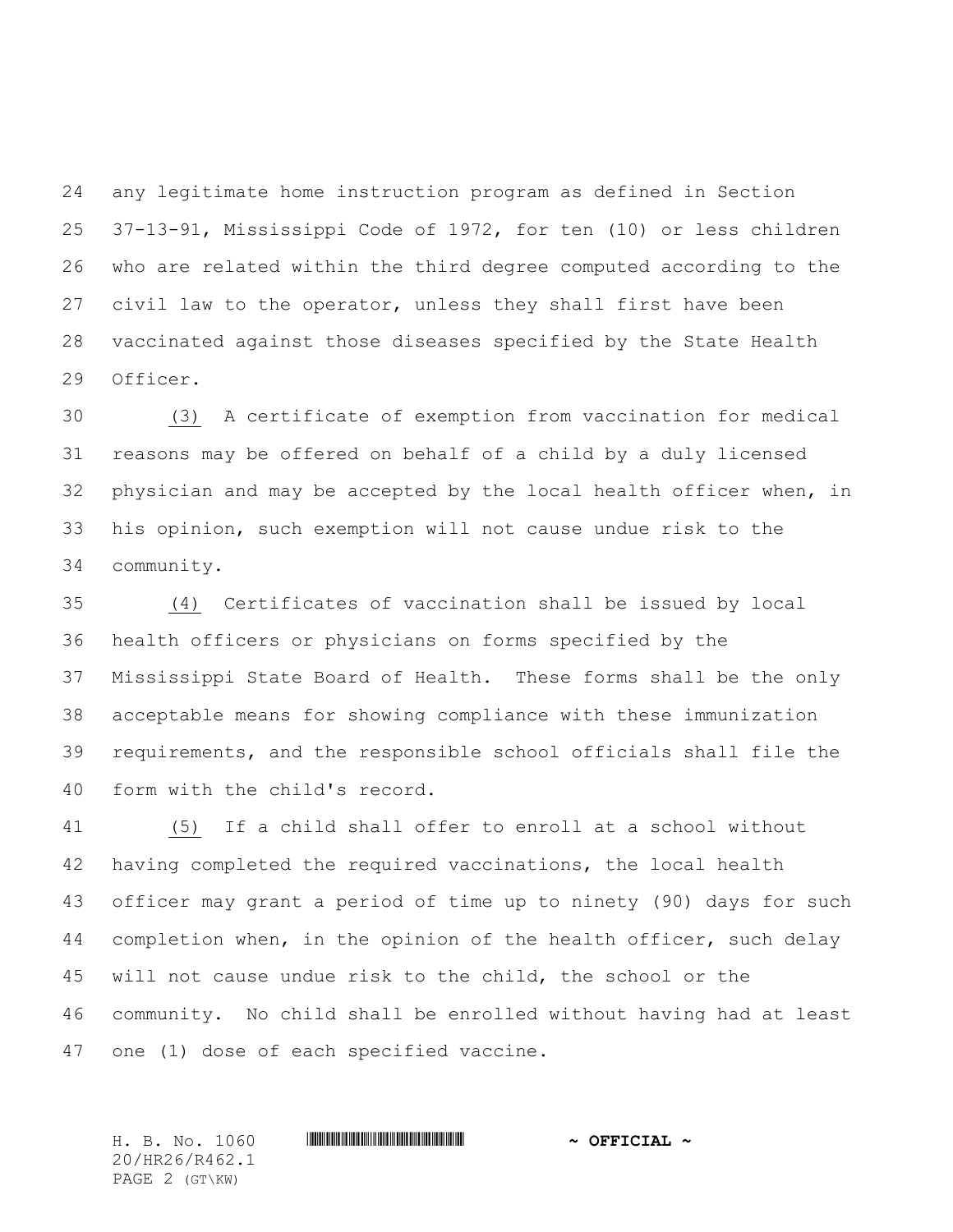any legitimate home instruction program as defined in Section 37-13-91, Mississippi Code of 1972, for ten (10) or less children who are related within the third degree computed according to the civil law to the operator, unless they shall first have been vaccinated against those diseases specified by the State Health Officer.

 (3) A certificate of exemption from vaccination for medical reasons may be offered on behalf of a child by a duly licensed physician and may be accepted by the local health officer when, in his opinion, such exemption will not cause undue risk to the community.

 (4) Certificates of vaccination shall be issued by local health officers or physicians on forms specified by the Mississippi State Board of Health. These forms shall be the only acceptable means for showing compliance with these immunization requirements, and the responsible school officials shall file the form with the child's record.

 (5) If a child shall offer to enroll at a school without having completed the required vaccinations, the local health officer may grant a period of time up to ninety (90) days for such 44 completion when, in the opinion of the health officer, such delay will not cause undue risk to the child, the school or the community. No child shall be enrolled without having had at least one (1) dose of each specified vaccine.

20/HR26/R462.1 PAGE 2 (GT\KW)

## H. B. No. 1060 \*HR26/R462.1\* **~ OFFICIAL ~**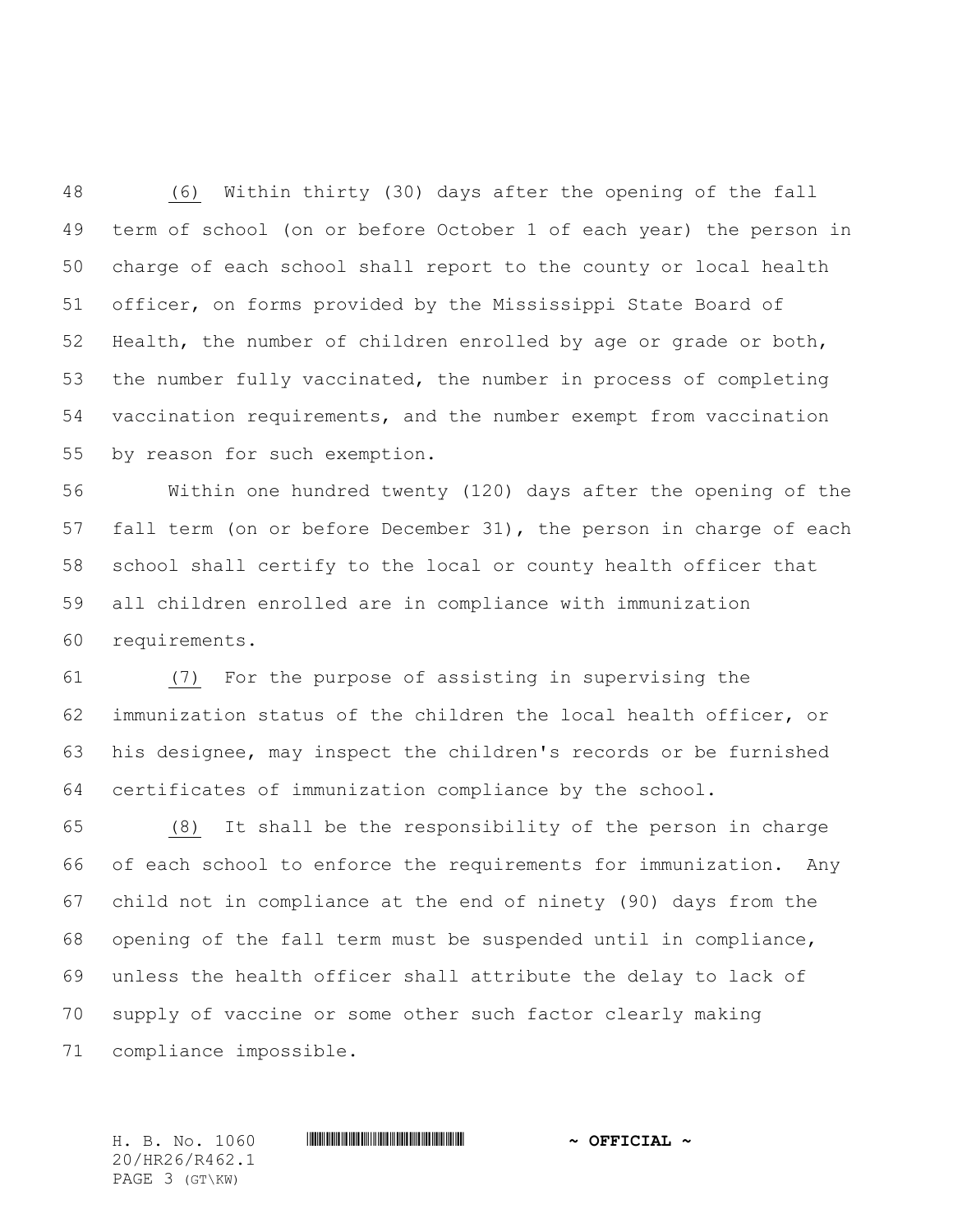(6) Within thirty (30) days after the opening of the fall term of school (on or before October 1 of each year) the person in charge of each school shall report to the county or local health officer, on forms provided by the Mississippi State Board of Health, the number of children enrolled by age or grade or both, the number fully vaccinated, the number in process of completing vaccination requirements, and the number exempt from vaccination by reason for such exemption.

 Within one hundred twenty (120) days after the opening of the fall term (on or before December 31), the person in charge of each school shall certify to the local or county health officer that all children enrolled are in compliance with immunization requirements.

 (7) For the purpose of assisting in supervising the immunization status of the children the local health officer, or his designee, may inspect the children's records or be furnished certificates of immunization compliance by the school.

 (8) It shall be the responsibility of the person in charge of each school to enforce the requirements for immunization. Any child not in compliance at the end of ninety (90) days from the opening of the fall term must be suspended until in compliance, unless the health officer shall attribute the delay to lack of supply of vaccine or some other such factor clearly making compliance impossible.

20/HR26/R462.1 PAGE 3 (GT\KW)

## H. B. No. 1060 \*HR26/R462.1\* **~ OFFICIAL ~**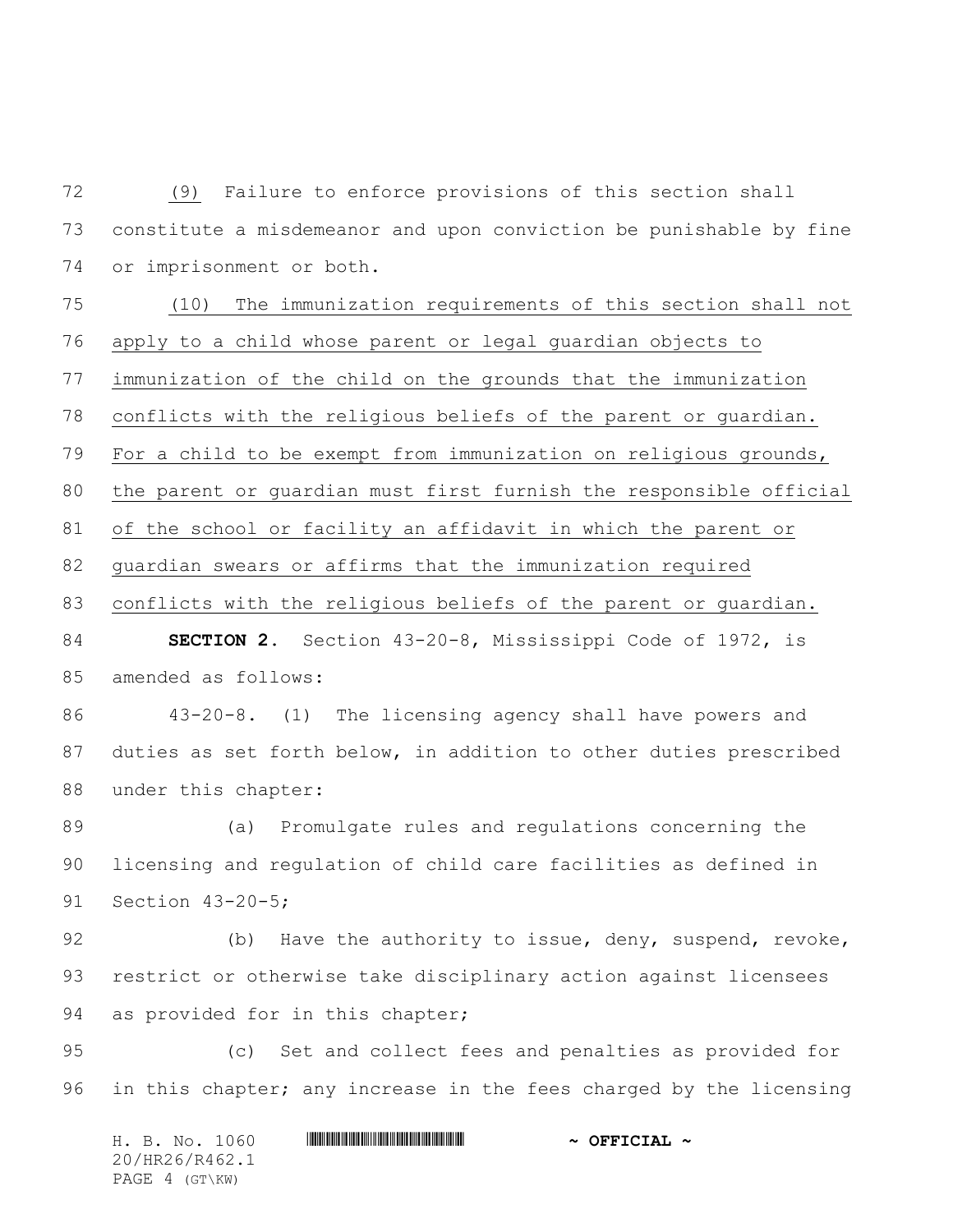(9) Failure to enforce provisions of this section shall constitute a misdemeanor and upon conviction be punishable by fine or imprisonment or both.

 (10) The immunization requirements of this section shall not apply to a child whose parent or legal guardian objects to immunization of the child on the grounds that the immunization conflicts with the religious beliefs of the parent or guardian. For a child to be exempt from immunization on religious grounds, the parent or guardian must first furnish the responsible official of the school or facility an affidavit in which the parent or guardian swears or affirms that the immunization required

conflicts with the religious beliefs of the parent or guardian.

 **SECTION 2.** Section 43-20-8, Mississippi Code of 1972, is amended as follows:

 43-20-8. (1) The licensing agency shall have powers and duties as set forth below, in addition to other duties prescribed under this chapter:

 (a) Promulgate rules and regulations concerning the licensing and regulation of child care facilities as defined in Section 43-20-5;

92 (b) Have the authority to issue, deny, suspend, revoke, restrict or otherwise take disciplinary action against licensees 94 as provided for in this chapter;

 (c) Set and collect fees and penalties as provided for in this chapter; any increase in the fees charged by the licensing

H. B. No. 1060 **. HALLASH RAGE AND A OFFICIAL ~** 20/HR26/R462.1 PAGE 4 (GT\KW)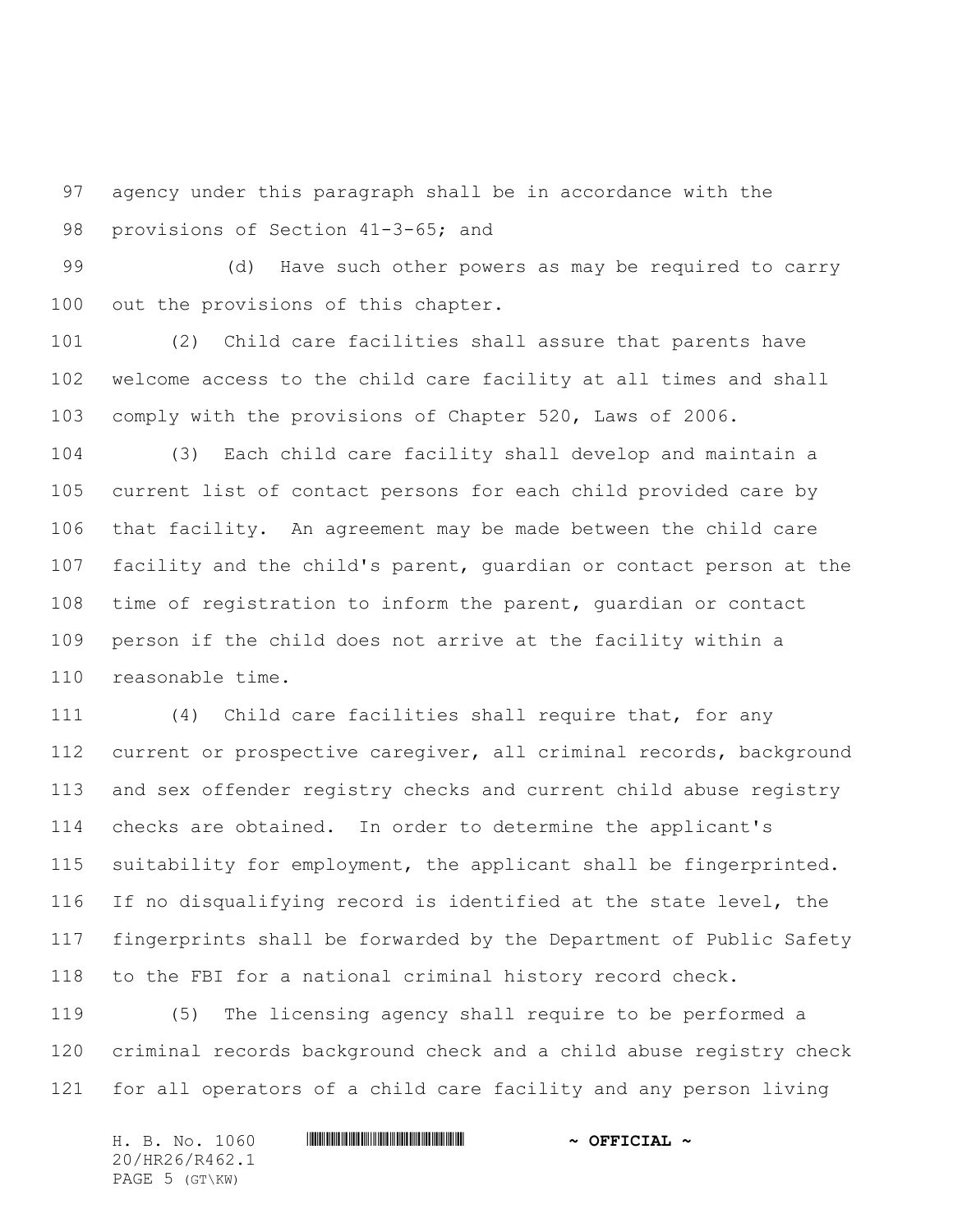agency under this paragraph shall be in accordance with the provisions of Section 41-3-65; and

 (d) Have such other powers as may be required to carry out the provisions of this chapter.

 (2) Child care facilities shall assure that parents have welcome access to the child care facility at all times and shall comply with the provisions of Chapter 520, Laws of 2006.

 (3) Each child care facility shall develop and maintain a current list of contact persons for each child provided care by that facility. An agreement may be made between the child care facility and the child's parent, guardian or contact person at the time of registration to inform the parent, guardian or contact person if the child does not arrive at the facility within a reasonable time.

 (4) Child care facilities shall require that, for any current or prospective caregiver, all criminal records, background and sex offender registry checks and current child abuse registry checks are obtained. In order to determine the applicant's suitability for employment, the applicant shall be fingerprinted. If no disqualifying record is identified at the state level, the fingerprints shall be forwarded by the Department of Public Safety to the FBI for a national criminal history record check.

 (5) The licensing agency shall require to be performed a criminal records background check and a child abuse registry check for all operators of a child care facility and any person living

|                |  | H. B. No. 1060 |  | $\sim$ OFFICIAL $\sim$ |  |
|----------------|--|----------------|--|------------------------|--|
|                |  | 20/HR26/R462.1 |  |                        |  |
| PAGE 5 (GT\KW) |  |                |  |                        |  |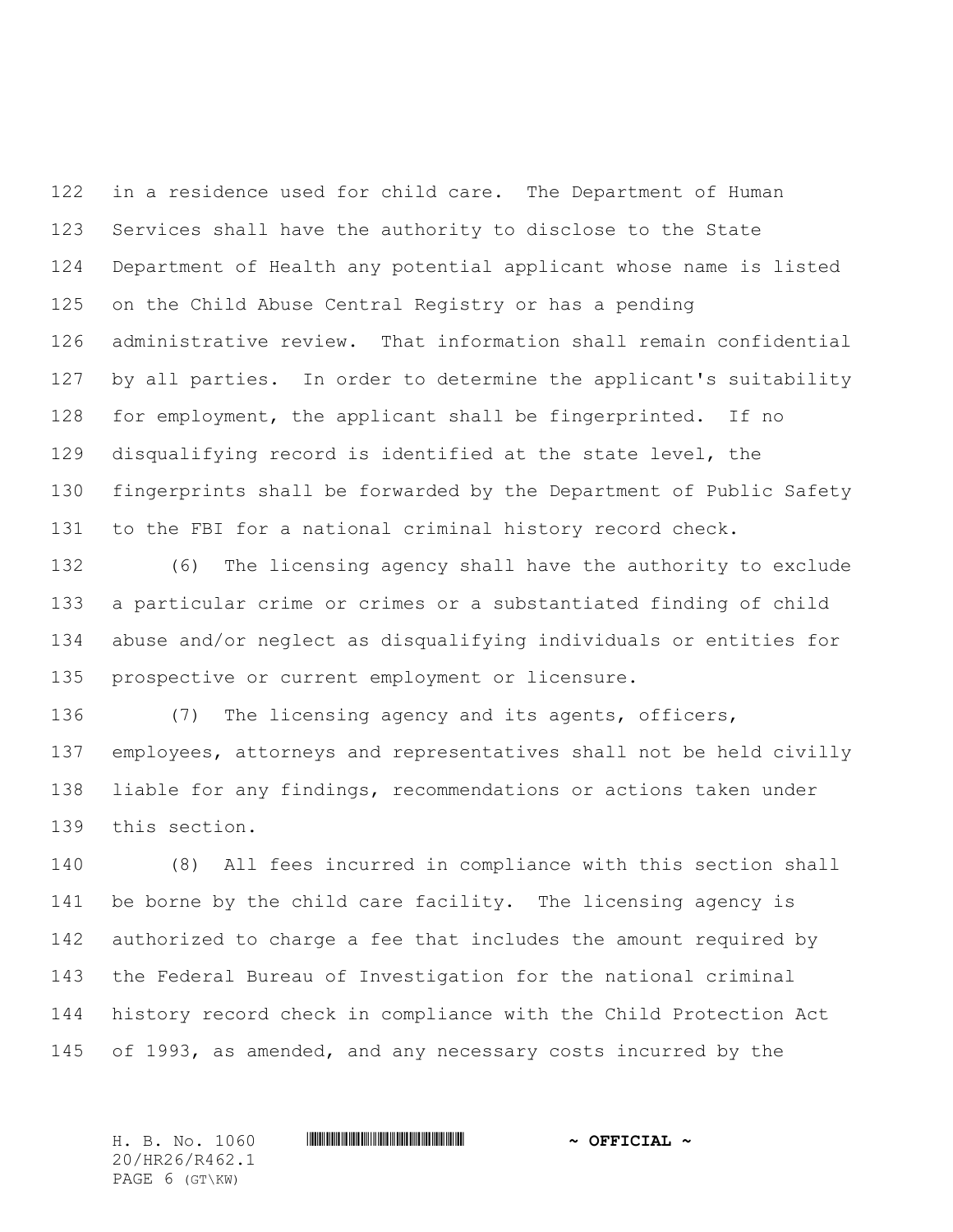in a residence used for child care. The Department of Human Services shall have the authority to disclose to the State Department of Health any potential applicant whose name is listed on the Child Abuse Central Registry or has a pending administrative review. That information shall remain confidential by all parties. In order to determine the applicant's suitability for employment, the applicant shall be fingerprinted. If no disqualifying record is identified at the state level, the fingerprints shall be forwarded by the Department of Public Safety to the FBI for a national criminal history record check.

 (6) The licensing agency shall have the authority to exclude a particular crime or crimes or a substantiated finding of child abuse and/or neglect as disqualifying individuals or entities for prospective or current employment or licensure.

 (7) The licensing agency and its agents, officers, employees, attorneys and representatives shall not be held civilly liable for any findings, recommendations or actions taken under this section.

 (8) All fees incurred in compliance with this section shall be borne by the child care facility. The licensing agency is authorized to charge a fee that includes the amount required by the Federal Bureau of Investigation for the national criminal history record check in compliance with the Child Protection Act of 1993, as amended, and any necessary costs incurred by the

20/HR26/R462.1 PAGE 6 (GT\KW)

## H. B. No. 1060 \*HR26/R462.1\* **~ OFFICIAL ~**